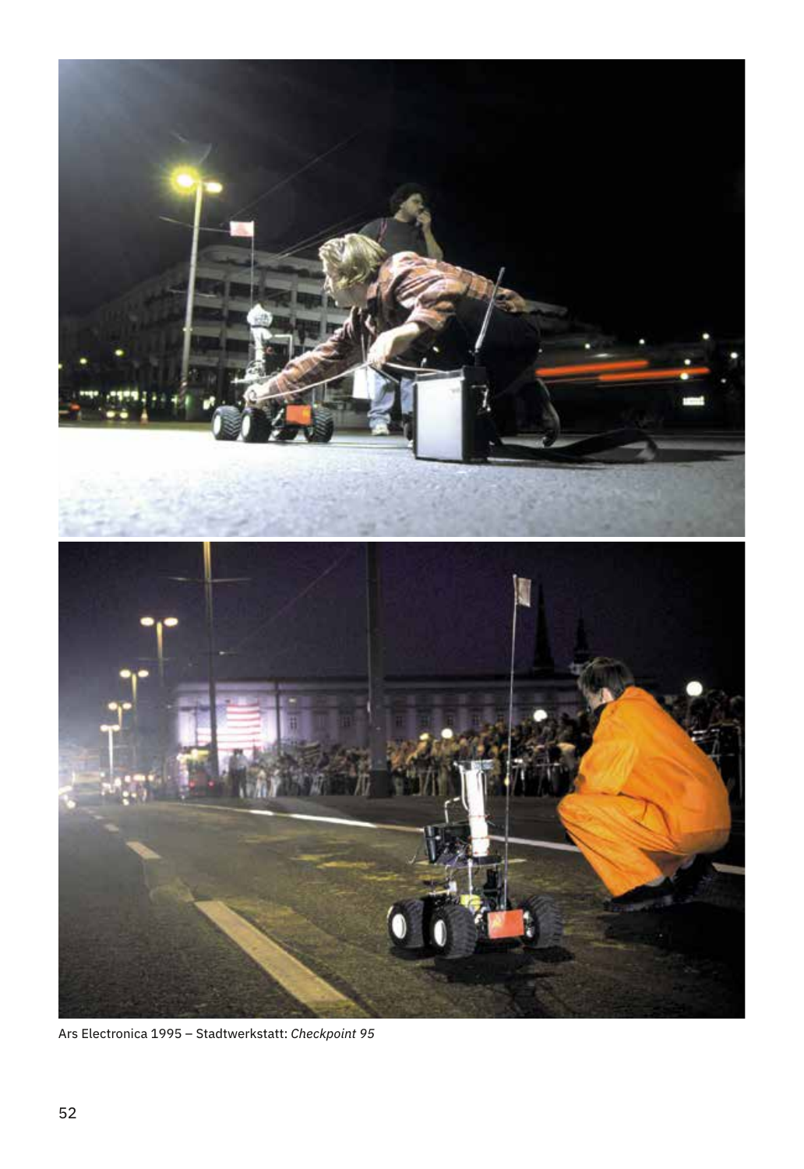

Ars Electronica 1995 – Stadtwerkstatt: *Checkpoint 95*